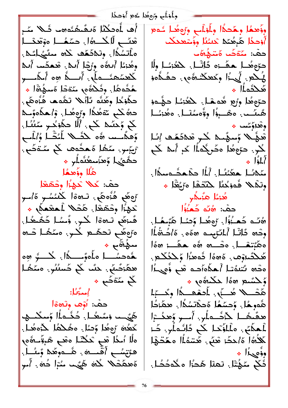وِلَمَوْلَى وَرُوهُا ـُهو أَوْحَـٰا

أَف لِمُحكِّلًا هُىفَىغْتُمْھَتَ شَلا سُبِر هْنَّـــر الْكُـــرهُا. حمّهُـــا هوْقَعْـــا ه اُتسُدًا. وتككّف كَلاه معنًى اِسَكَ. وِهُٰ;عُا أَلِيُّهُ وَرُجًا أَلَىٰ. شَعَفُسَ أَلَمْ ݣعنفعنْـــــــــملِّي. أســــــدّْ وه أيكمــــــو هُدُّەهُا. وِثُلاَةُٯ مُتَەتْا ەَسْھُةًا ۞ حكَّفِكُمْ وِهُنَّه نَاأَلًا نَعْمَمْ فُنُوهُمْ. دەُكْبِ غَەْدُا بِرُوهُا. بْرُاھلُەدْم كَحِ وَحسَّمَ كَحٍ. ٱلْا حَكَّوَكُــرِ مَثَلًا. وَهِمَسس هُو حَشَمًا مُتَشَـاً وُٱلْمَس رْبِبْسِ. مَمْعُلْ هُھَدُهِ کُمْ مَنْقَضَى. دَهُمْ ﴾ ﴿ وَهُذَمَعَهُمْ فَاللَّهِ ﴾ هُلَّا وؤُهمُا حفَّ: كَلا تَكِهُّا وِحْقَقَا رُوهُم فُنُوهُمْ. تـــ90\$ كَلْمُسُــرٍ هَامــر تَدِيرُا وِدْعَعْدَا. هُدْلا لْمَعْتَمِكَرِ \* قُىزمَٰى نَـْ10\$ كُـُـرٍ. وُّـسُـا كَـمُّىعُـا. ەرُەھُم تىھگى گىر. مىلھا قىھ هُوصِفُـــا وَأُومُـِـــدًا. كُــــوٌ وَو ھكَ;كُىلٌ . هنُنا لَبْ كُسْلُلُو . ممْعُل ੱ∕ مٌةَصَّعِ ِ ∗ إمىزٌ مُنا: حقَّ: أَوْهَا وِلْـ169 هَيَّـــــــــ وَمُنفُــل فَـــُــفَــلَّا وَمِمَكْـــــها كَعُدَهُ رُوهُا وُمِبْلَ. وهُكُمُا كَرُوهُـا. ەلْل اُىڭا ھَے كَكْتْنَا ەھْے ھْبِؤُنْسُوْە هوَّتِمُبِ أَقْمِدِهِ فُسْمَوِهُكُمْ وُسُلْلٌ. ەُھكَنْدْ لَا هُيَّى مُرَّا دُهْ . أَس

وؤُهمُا وهُجمًا وِلُوْلَى وَرُوهُا شَوْمِ أوحدًا هُرِهُمُمْ تَعِسُّأُ ووُسْعِدِكْت حقَّ: مُتَوَكَّب هُنْدُوهُ وَ يُمِكُمْ. إِيْهُ أَوْ كِعِكْتُمُوهُ مِنْ حَفْ£ُوهِ هُكْثُماُ ﴾ حرِّهِ هُلْ وِرُمِ هُدهَـلْ. حَهُّنَـٰل حَهُّدَهُ هُبِكُب، وهُبِذَا وَوُّومُنْكُ). وهُزْسُل وقداؤكمت \* هَذُلا وَسَمَّــه كُــرِ هُمْكُمُّـفَ إِنْـا كُلُو. حَرَّوْهُا وَحُرِيْكُواْ كُبِرٍ أَبْكَ كُلِّ أباءُاْ بِهِ مَكْمُلًا هَقَنْنُا. أَلَمُّا دَهْهَدُومِكُا. وتكْلا فُوحُمُا لِمُتَوْا وَرُغُثًا ﴾ هُدَمُا هزُمكُر حق: هُنّهُ كُمْزُوْا ھُنَے ڪُمُّزُوْلُ. رُوھُـا وُحِبًا هُرُمُّالُ. وْدُهِ دَّاتْلَ ٱلْمُرَّمِيهِ هِهُو ﴾ ٱدْخُلُّا هِ مَبْتُمْسِلْ. هِ يُسْمِدُ هُوَ حَقَّسَةِ هُوَا هَكْشُاوْهِ . هُ‰ا شُمْعْزَا وُكْفُكُمْ . أَسْرِهِ وَ صَاهِدًا مَعْ أَحْمَدُ مِنْ الْمَسْرَةِ مِنْ الْمَسْرَةِ مِنْ الْمَسْرَةِ مِنْ مَسْرًا وَكَسُّم هُ أَكْتُمُومٍ هُصْــلا هُـــنِّي. لمُحفّف دُا وِحُـــبَهْ هُومِمُا. وِّحسُمُا هُحِدَّتسُدًا. مِعَزِّجًا هقَىقًا جَنَّـملُر. أَــر وَهجْــرَا ـلَـمكَّبُ. هلْلؤَكْما كُـمْ دُائـُـملُر. كُـز لْلَاهُ] هُ/حدٌ: هَنَّى. هُتَنفُلًا مَعَّدَهْا وؤهيدا و ثَكَ مَكْتَا. تمثا هُدُا مثَدْحُط.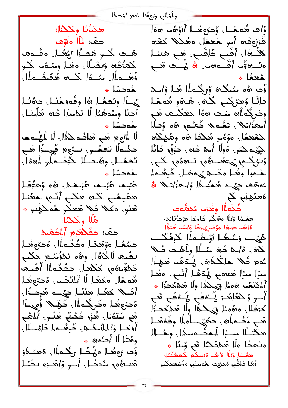وأُوْلَى وَرُوهُا هُومٍ أُوْحِدُا هدٌُرُنا و تَكْلَا: وُافْ هُدْهَــا. وُحرِّدِهِهُــا ٱرْوَهُــْ هَذَا فَزْوَقْهِ أَمِرٍ هَعْفُلٍ. هَقَلْلا كَفَتُه حفَّ: ١ُأَ المُؤْهَبِ  $\sum_{i=1}^\infty \frac{1}{i} \sum_{i=1}^\infty \frac{1}{i} \sum_{i=1}^\infty \frac{1}{i} \sum_{i=1}^\infty \frac{1}{i} \sum_{i=1}^\infty \frac{1}{i} \sum_{i=1}^\infty \frac{1}{i} \sum_{i=1}^\infty \frac{1}{i} \sum_{i=1}^\infty \frac{1}{i} \sum_{i=1}^\infty \frac{1}{i} \sum_{i=1}^\infty \frac{1}{i} \sum_{i=1}^\infty \frac{1}{i} \sum_{i=1}^\infty \frac{1}{i} \sum_{i=1}^\infty \frac{1}{$ هُـد كُــر هُدـُ;ا رُبُعُــا. هڤُــمِّع ەئسەۋّى أَقْسەمى. ﴿ فَى سَبَّ هَبِ ݣْݣُوزْدُه وۡلَدُّىلًا. ەھُـا وۡمَـٰفَ كُـْر ؤُهُــواًا. مَـْـوُا كَـــْ هَدَمَــُـواًا. ــقعدمًا \* ؤُد ، هُ مَمْكُنْ وُرِيْكُمْ! هُـا وُاسِلا ـــة عصار ب حْكِمًا وتُحِمُّلُ هَٰا وِفُوهُنُـلٌ. حِهْنُـلُ كَاتْلَا وَمحكِكُم لَحْدَهُ . هُــْهُو هُـُمَـمْـلْ أحبًا ومُوهُدًا لَا تَكْسَرْا حْيَ هَٰلَكَ لِي وضَحْدَاْه سُت هوَٰا حَفَكُمْتَ شَم هُ حِسُل \* أَمِعْزُاتِينَ مَشَمِينَ جَزَيْبِي هَءٍ وَصَلَا لًا ۚ أَرُومِ هُـ مُعَاشُّـه حَدًا . لَا ۚ أَنُّـه م للقعفل ووِّقَم هُلْكُل 60 وهُوْلَاه ِيْءِ جَيْ. وَولًا أَسِط شَرَو . حَزْفُو حَلْقَالَ حكَّماً اللَّحْصُـو. سؤوم فَيْ-زَا مْبِ بهك برەۋەت بەۋسىغتىن بەلگى بې ئَعْمَا. وِهَْجَنَّا جَنَّصَلُو اُهْدَا. هُەدىئا ھ هُـوزُا وُهُـا وصْـِـدْ بِـوهُـا. كَرِهُـما هُبُم هُبُم هُبُمُمْ. ۞ وَهِۃُقَا تَّه مَكَّدَا وَاسْتَمَامَ وَاسْتَمَارَ مَنْ اللَّهُ هكَبِمُبِ لَدْهِ هِنْدَمٍ أَنَّمٍ مِعَكَمَا *ۿڵ*ڹ؞٥ؙ*ڬ*ڵٲ؋ٞڵڵ؆ۿڡڵڔۦۿؘڡڂڮۢڷڔ؞ همَّسُا وْٱلْمَا هِ هَكُر كَاوْكَا هَرْجَةُنَاسَه. هُلَّا وتَحْكَمَا: هَاهُم حَبَّدَهُ احْبَرِّ مِؤْمًا عَلَيْهِ مَعْلَمَ حقَّ: حَثَكَثَمَ مِ ٱلْحَقَيْدِ حمّمُـا ەوْقىدْا ەكْتُـەلُل. ەْجَەھُـا كُلُّهَ. ةُامِدْ دُهْ مَمْسُلًا وِلْمَصْدِ شَلا بِقَيْتِهِ لَا كُلْهَا. وَقَوْ تَكَوَّضُو حَكْمَ ثَهِ وَلا هَاتُكُمُ . فُتْ قَف هُدْءُ! كُمْتَمِيدُهِ كُنْكَفَا. حكُنُماً أُهُمِه مَبُرًّا مَبْرًا هُدَهُم لِمُقَاظِ أَتْسَى. وهُـا هُدهَا. دكْعُـا لُا ٱلْمُكْـد. ەْدَوْهُـا أَلْمَتَعَب هُءنا فَيَحْدًا وِلًا مَحْكَمَةًا \* أَكَـــلا كَعُـــل هنُنُــل كَيْــــه هُـرِحــزُل. أُسِرٍ وَحْقَلَهُـ: لَيُـتَمَّعِ لَيُـتَمَّعِ شَعِ هُحرُهِ هُـا مَحْرِيكُـهِ أَا. خَهْــلا وُّصِــاْا كَرْقْلًا. وَهُوَمُا فِيُحْدُا وِلًا قَعِدْكُدْ;ُا مْعِ ىُتّْمَاءَ. مُنَّى حُكْتُبِ مْنُسٍ. أَلْمَحْعِ هُم ذُهْـه الْمَالِمُ حَكَّيْمِــأَه الْمَ وَقْتَهْمَــا أُوْكُلُ وْاٰلْمُلْكُكُ. خُرِهُــوا قَاةَــلًا. هكْتُما مبرًا لمُعشَــهمدًا. وِهُــالًا وكُتُلُ لَّا أُحِثَّە۞ \* ەنُھجًا ەلًا شَكَكْنًا شَى وَّىنًا \* ؤُد رُومُه الْمُهُمَّا رِجُّهِ اُلْ هُمْنَكُو همُسُل وَٱلْمَا وَٱهُد وَٱسْكُمْ كُعْعَيْتُمْا. هْدِيُّهِ مُدَّكِّلٍ. أُسِرٍ وْاهْدَه بِدَّعْبَا أَهُا دَاتَٰبِ هَدرُود هُوسَنِّبِ وَزُمْعِدكَبِ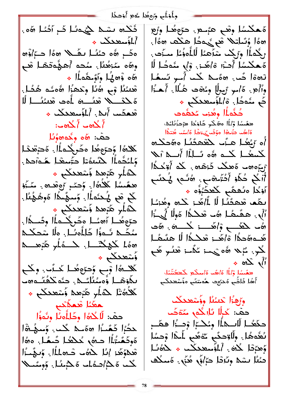وأُفِلُّعِ وَرُوهُا هُومِ أَفْحِكُل

ئُكْلُو بِشَكْمْ حَكْمَلًا كُمْ أَثْنَا هُو. أَلمَؤْمِعْدَكُمْ \* دَفْعِ هُو حَنْبًا بِفَيْلاً هَوْا حَيَّابُوْهِ وِهُه مُنصُلًا. مُحد أَهِهُوتَهَا هُم 65 وَ9) وَأَوَّىكُمَا ﴾ هْنِئْلُا وْمِ هُنُا وِيْتِعْزَا هُوَيْتُ هُجُلْ. هُ لِكَسْبِ لَهُ شَسْبَةً لِمُوتَ هُنْشُنَا لَلَّا هْجَمْتَ أَبْدِ. أَلْمُؤْمِنْعَجْكَتْ \*  $\frac{1}{2}$ الدە ئاللاھى: حقَّدَ 60 ويُحددوُنُا كْلَاهُا وُحرِّوهُا وَحُرِيْكُمْلَا. وَحَرَّمَدْلَ وَلْمُحْمَلًا كَسُمُمْا حَتَّمِعْط هَءْتِكُمْ. ݣْݣُلُو هُرْمْدْ وْشْعْدْكْمْ \* همُسُلٌّ لِلأَهَا. وَحَسِّر وَوَهْدِهِ عَشَوْ ِّكُمْ هُمْ يُحْثَم*اْ*اً. وِّسمُنْكُم<sup>ا</sup> ەَوھُھُلاً. لْمُلُو هُبْعَدْ وُسْعَدْكُمْ \* حوَه مُصل أهمُــا وحُرجُــْـماْل وصَّــدُا. مُكَـــد نُـــوزُا كَلِلْمَنُــا . ملَّا مْحكّــد 100 كَلِمِكْتَهَا. كَـــــهُكُمْ هُبُعْـــــــمْ ۆشكىكىم ھ كلِما وَبِ وَحِرَهِ هُما كَنُو. وكُلّ ىكْفِرْقْطْ فْوَمْئْلْتُىكْ. دْتُوڭْنْدەد ْكَلَّەْتْا كَەُلُّر هُرْمَد**ْ زُ**ىتى*مىكى \** حكمًا شمكَتب حفَ: لَالْحُدُا وِحَالْمَوْلَا وِنُوزًا حَدًٰ} كَعُسَٰٓا 50مَــِمْ كُـبٍ. وَسَوَّتْةَا هُوكَمُّتُمَّا حِيهُ كَحْفُظْ حُيمًا. وهَٰا قْلِاوُهُمْ إِنَّا لِلَّهُمِ شَهْلِمَاْلِ وَبِهَمْأَل ىگىي ئىم(كەلمە ئىم ئىگىللى ۋوسىلىللا

ة هكْسُا وقع هزُمو. حرَّهِ هُما ورُهِ هِهُمْ وُتُبِلِيْكُمْ هُمْ يُهِجُلْ هِكُمْ هِهْمَا. رِبُكُماْ! وَرَبُكُتْ شَرَّهْمَا لْلِلْمَوْمًا مِنْهُفٍ. هُـمثَـمْـنَا أَحـْزَا هْ/هَٰـزَ. وْلِي مُنْحَكَّـا لَٰا لَهِ أَمَّا . هؤملا لَكْتَ أَمْرِ تَسْعُل وأأدر. ةامو رُمولًا وِمُهْت هُـُلَا. أَحَـٰٓزًا كُمْ مُدْدَاً. وْالْمُعْتَكْلُمْ \* كُنُّه لَمَّا وهُزم كَنفُّه ف همَّسُا وْاٰلُمَّا هَمْكُر كَاوْكَا هَزَجْزُنُاسُه. هَاهُم حَبُّدةَ أَ مَوَّضَى جَاضًا هَامِّمَا هُتَمَّاهَ أَه رُبُعُـا هـزُم لِكَعْهِدَّىُـا هِ وَحَكـْد كَسِعُها كَنْ هُو سُلْأَا أَسْكُ أَبْلا تَوْبَوه مَعْكَدٍ دَعْمَهِ مِنْ كُمْ أَوْكُمُ ٱٓالُّٰلُ حُكۡوۡ ٱۡحُتَّمَٰوۡ بِ ۚ ۞ ثُمَّهٖ ۖ لَىٰحَتَـٰمِ أَوْكُلُّ مَنُعَمَّمٍ كَعَجَّزُوْهِ \* بِّكُمْ شَعْفُنُا لَّا أَاهُدَ كُلُّهُ وَهُدْنَا أَلَّى. هِقَىعًا هُـَ مَوْلَكُمُ هَوْلًا يُجِبُّا هُ لَكَفِ وَاهُ فِي اللَّهِ وَهُ هُــوهُحِمَّا وْاهُــز هَــْـدًا لَّا هِنَّـصُـا كُمْرٍ. تُبْلَّهُ قَاهَ يُهْمِمْ نَكْلُمْمْ قَطْسٍ قَامٍ  $\bullet$  on  $\mathcal{L}$ همْسُل وْالْمَلْ هَاهُبْ هَامْكُمْ كَلْعَظَتْتُمَا. أَهُا دَّاتَٰبَ ہٗدوٗہ حُدَیتَٰبِ ہوَٰنُمُعدكُب وزَهِزًا تَنسُلُ وَوَسْعَدِكُمْ حفَ: كَرِلًا تَالِيكُم مِّتَوَجِّب حكَمُــا لَّانـــــاءًا وَــُــزَا وَحــزًا همَّـــرِ ىُعْدَهُا. وِلَاوْحكَى عَدْهُى لَمْدَا وْحِسُا وَهِبْطْ لَحْقٍ. أَلْمُؤْسِعِدِكْبٍ \* لِهِ صَدْرَا دئىُّا بِشْدْ وِتْرْدَا دَءُاُوْ) هُنَّى. ەَسْكُف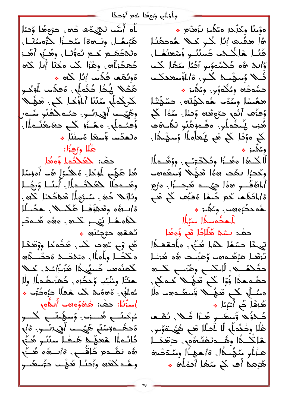وأُفِلَٰعٍ وَرُوهُٰا ـُهُمْ أَفْصَدُا

لَمَا أَمَنَّكَ تَذَكَّبِكُمْ هُ هُو . حرَّوهُا وُصْلَ هُبُمما. وتـ108 مُحبًّا لِمُرْدمُنْها. ەلْكْتَكْتْمْ كْتْمْ شْوَتْلْ. وِهُنَّى أَهْدَ كُهكُناُهِ. وِهُمْ لَكُ مَكْلًا أَمِل كَلَهِ ەُوِنُىْھ فُكَمْسْ إِنَّا كَلَّا ﴾ هُتْمٌ هُٰطًا حُثُمَاً }. هُففُس الْفِحُـو كْرِبْكُمْ) مَنْسُلَا ٱلْمُؤْكَّلَ كُلْي. هَوْ كُلُّ وهَيِّب أَقِي\لُــو. حَنْــه لَكْلُو مُنْــه إ وَكِنْدِهَا وَحَصَنَوْ لَكَنْ حَبَّ مِثْنَدِهَا) . ەتھكُىي ۆُمھْل ەُمىلُلْ ﴾ هُلًا وزَهِزُا: حقَّ: لَهُلْثُما وُوهُا هُا هَٰهٌم لَمُوْكَا. هُ هُنُوْل هُ۔ أُهوٰسُا وهُـــوكُلّا لحفَكثُــولُما . أَمنُــا وَرَكْــا وِنَاأَلا دُهَ. مُمْوُوباً! هُدْخُدْا ۚ لَاهِ . ة/سعةُه ومْحَفَّوْهْما هَكْمِىلا . هضُمُلا لِكُمِمُّا بُيْنٍ لَكُ مِنْ هُوَ هُدِيْنٍ ئھھە حۇچئآئە \* هُم وَمِ مُهجٍ مُسْدٍ هُجُوعُدا ووَتَعَدَّا ەڭكىل ولمُەلُّا. ەتكىسىگە ەَحصَّىدە كْحِنُوهما حُسْبُهِمْ هُنُّمْ أَمْهُ الْمَحْمَدِينَ مَعَهَ هلَنُا وِشَيْبِ وَحِدَّوهِ . دُهِنُّوهُ ولَمْ إِلَ شَمْلُوُّى. هُ٥٥مْ لَمْ هُدْلًا دَرُّەدُتُو \* إِسْتُلْا: حقّا: هُتَوَوْهِ مَا أَلَكُومِ<br>مُبْكِمَنِّسِ هُـــزَمَّ . وِّسْهِمَنِّسِ كُــــرِ دَّانُـه)ُا ـهْعدُـه هُـهُـا مىلُـُـو هُــَوْ ، هُه تَعُّــه مَ دَاقُـبٍ. هُ الــ، هُه ُ هُـــَٰٓ) وهٌ عكْفُلُه وأَحلُلاً هُنَّهَ حَتَّمَعَهُ و

ەۇبىلا وڭلاھ ەڭگىز بۆھتوم چ هُا هفَيهِ إِبْا كُـرٍ كَـلاً هُـْحَمُّنُـاً فَنُـا هَاتُحْــام خَسَنُنُــرٍ وُسْعِنُهُــا. وَّ)لِهِ هُوَ حُكْشُوْمِي أَضُلَا مُنْعُلِ كُبِ ئَىلا ۇسۇسىل كْبر. ة/لمۇسعىككىت دىئەدە ب<sup>ې</sup>ڭەۇس. ب<sup>ى</sup>گىز پ همَّسُل ومِنْدُ هُوَ حُلُوْلُهُ . حَمَّدُتُّا وُهِ أَهْمٍ حَوْمِهُ وَحِبًا. مَمَّا كَمْ هُٰڹٮ۞ڸؙٮڅُّڡڶۢڔ. ٥ڡ۫ۘٛڡ؋ؚػؙڸؙڔ۩ڷڲؙٮ۞ۛڡؖ لَّٰٓ وَدُمَّا لَّٰٓ شَمْ لَمُعَالَّا وَٰٓ وَٰٓ مِّمَاْ ا وكمأمزي لَّاكُدەُا ەھُـُزَا وِثَكُتْتُب. وِوَْهُــماُا وِكُدُرُا بِمُد هَا شَوْيَكَ وَسَعَدُهم ة/ادَّهُمَا كَمْ شَمُّا هُفَوْهَا كُمْ شَم هُدَهُبُرُهِ مِن وَيُمُن \* الْمِحْمِيما الْمُبَارَ حفَ: نشك هُلُلادُا هُم وُههُا لْهُـعْمَالَهِ . وَنَمْ لَمْمًا هُـمَّةٍ لَمْ هَـمَـمَّا الْمَـهَـمَّا ا لَرْهْدا هَزْهُدەمە وُهَّىدە ھُە هُنْسَا دئكمُسْمٌ. لَٱسْمَعْمَ وِعْنَهُمْ لَمْسَدِهِ حقُّـهِـهُا زُوَّا كُـهِ شَوّْـلاً كَـهِكُـهِ. هَمُلْمٌ كُلِّ هُؤُلًا وَّسْعَدُهُ وَلَّا |مُزفَا کَے أَنْبَـُا ﴾ كَـٰهُوَٰى اللَّهُ وَمَعَمَـــرٍ هُــْٓا كُــا }. تُـهَــم هُلَّا وِحُثُمَلُ لَّا ـأَحِـلًا هُـعٍ هُيُّــةوِّـبٍ. هْلِتُكُمْلُ وِهُـــوتَعُنُمْوُهِ. حَزَّقَكَــلا هـُذُلُو مَكْهُــدًا. 16هـجـُ:ا ومَنْـةحْـدة هُرْهِهِ أُهِ لَكُمْ شَعُلٍ أَصْلَٰهَ ﴾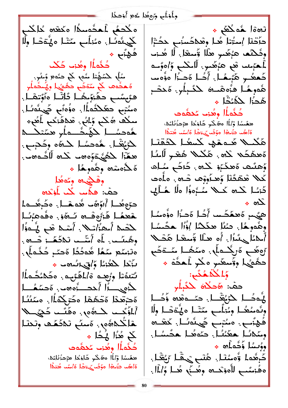وأُفِلَٰعٍ وَرُوهُٰا ـُهُمْ أَفْصَدُا

وكُتْمُ أَحْثُوسِكُا وكُعْدُه كْلِكْبِ لْمَحْمَدُكُمْ لَتُنْهَ مِنْفُرْ وَالْمَعْرَضَ وَالْمَعْرَضَ فَكِنَّهٖ \* فَيَقَامُ وَقُوْمٍ كَكُمْ<br>حُفْقُهُ وَقُوْمٍ كَكُمْ مَاْلِ حَمَّوُمَا مَثَّلٍ کَلِّ حَثَّامِ وَّمَنُو.<br>هَـعَثَّاما کَلِّ مُتَاضَّعِ حَقَّیُ اِ وَلَٰٓحَقَانُو فَعُمِنُنِ حَقَّوْمِعُنَا دُاتْنَا وَأَوْتَهْنَا. ەمْبْہِ حَقَٰٓكُنُّە اَ). ەۆەلَّى خَى شَەنُـا). مىكُ ۞كْبِ وَابُ. شَدِفَنَكَبِ لَمُبْ \* هُوصِيُا ۖ لِلْهُنَّـ وَلَمِن مِنْتَبَلَّـ لَم كْرُبُغْدا. هُەدسُل كەھ وكْترىب. هِمْزَا لِلْمُهُمَّوَهِ مِنْ مِنْ الْأَحْدَةِ. ەڭمەھ وھەولھا ، وقلتيه وتممكا حقَّ: فَهَمْسَ لَمْكَ لَمُؤْتَدِهِ دَوْهِ مَا أَاوَّهُ وَ هُوهُمَا . وَجُرْهُــوا هَعِمُا فَرْوَهُـ ۞ نَـوَٰٓ وَهُوَ صَرْنُـا لِكْتُبِكَ أَبِيعَةُ ٱسْلَابِ أَبْسَكَ هُم فُي فُوَّا وهُملُــد. لَما أَشَّــد لْلأَهْـــز تْـــره . ەتزىئىم مَنْعُل ھُەدُدُل ەَحتىر دُشْملُو. سَنَمَا لِلْكُنْزَاءِ وَاقْتِيْدَاسُدُهِ مِنْ مَنْ الْمَسْرَدِ لَّنْتُمُنَا وِرُهِدَ هُ/اهْوَّىءَ . هَكْمُنْدُهُاْ لأولى ألأ أحصدُوهم ومَعْهُما ەَدەقدا ەخھقا ەخزىڭگال. مىنىنا أَلمَؤْكَسَا لِمَـاثَاهِ). وَقُلُّسا ضَيِّسَالًا هْلِتُكُمْهُوب. هُمنّع تَكْفُتْ وِتَحْدًا کُم مُذَا یُے! \* دُخُه أُل وهُن، مُدهُّه، همٌسُا وْٱلْمَا هَهُكُو حُاوْدُا هَرْجَزُنُانَهَ. هَاهُم حَبَّدَهَا وَوِّصٌ حَبَّدَا وَاسَّدَ مَعْلَمَ

ثەۋا ھُەلگكى \* حَاِّدْنَا إِسْتُنَا هُـا وِهْدَكْسْتُبِ حَدُّ:ٓا وِثَكْلُم عَزْهُبٍ هَٰلًا وُّسِعْلَ. لَا هُـ;ٮ لْمَمِّىكَ هُمْ هَبُعُسٍ. لَأَمَّكُمْ وَاوَوَّىــْدَ كَعْفُسٍ هُبُسُمًا. أَكُلْ هُصَدًٰا هؤُهْنَا هُّومُا فُرُوهُــة لِكُـبِلُرٍ. هُـدَـُـبِ هُدُا ۞هُنْا \* كُنُه لُما وهُزب مُحقَّدت همُسُا وْالْمَا هَمْكُو حَاوْحًا هَرْحَزُنُامُه. كَاهُمَا حَبَّدَهُ الْمَتِيْنَ مَعْمَلَ مَامِنًا هَامَنَا مَعْنَدَا كَكْنَا هُــمْهَمْ كَسْعُا لِلْمُقْتَا ەَھھَكُمْ كُلُو، هَكُمْلا هُعْمِ لَلْمُنْا ۇھئىم ةھڭرُو كىھ. خُلصٌ سُلِھ كَمِلًا ۚ هُتُفَحَّنْا وُهِـأُووْهَا ۖ دَاهَ . مَأْهَد دِّ:ـُـا كَــْدِ كَــْلَا مُــزَّوةُ وَا وَلَا هُــأَلِي  $\bullet$  on ههُم، هُمْهُمُمْ أَصُلْ هُصَٰرًا هُوُهِمُا وهُومِهُل. دِمُبُل هِدَكِيْلِ إِوْزَالِ هِدَّسُمْلِ أَسْمَاءًا مِنْسَرًا فِي الْمَسْرِ الْمَسْرِ الْمَدَ بْحَقْبُ الْــْهْمُهِ. مَمْعُــا مُــْقَصَّع حَقَّتُها وِوَّسطُسِ مكْرِ لَمَعْتَةٍ \* وَلِمَلْأَهُمُنَّبٍ: حقَّ: وَحَكَّرَهُ كَحَبَلُهِ لْمَحْسَلِ لِكَرْبُغْسَا. حَسَّمَعُدُه وَّحُسَا ونُمسُعُـا وِنُزِلَٰبٍ مَنْـْـا هِيُّـةَكْـا وِلًا ھُوُنَہ ِ ، مِنْہُوَ ہِ مِنْہُ ، ہِ مُذَہ وسَّلائُهُ حَقَّنْتُهُ. حَيْوَهُمَا حَدَّسُمْهِ. اوۇبىئا ۆچەلەھ پ ضَرِهُدا أَعْلَى صِنْفَا . هَنْكُمْ مَنْقَا رَيُقْدَا . ەفْنِمَّى الْەَفْكَــْدَ وِهُــَنِّى هُــا وُٱلْمَالِ.